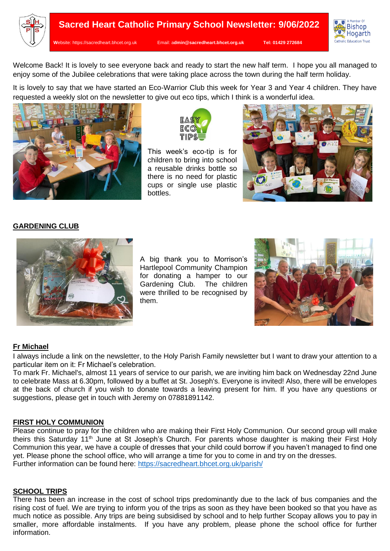



Welcome Back! It is lovely to see everyone back and ready to start the new half term. I hope you all managed to enjoy some of the Jubilee celebrations that were taking place across the town during the half term holiday.

It is lovely to say that we have started an Eco-Warrior Club this week for Year 3 and Year 4 children. They have requested a weekly slot on the newsletter to give out eco tips, which I think is a wonderful idea.





This week's eco-tip is for children to bring into school a reusable drinks bottle so there is no need for plastic cups or single use plastic bottles.



## **GARDENING CLUB**



A big thank you to Morrison's Hartlepool Community Champion for donating a hamper to our Gardening Club. The children were thrilled to be recognised by them.



## **Fr Michael**

I always include a link on the newsletter, to the Holy Parish Family newsletter but I want to draw your attention to a particular item on it: Fr Michael's celebration.

To mark Fr. Michael's, almost 11 years of service to our parish, we are inviting him back on Wednesday 22nd June to celebrate Mass at 6.30pm, followed by a buffet at St. Joseph's. Everyone is invited! Also, there will be envelopes at the back of church if you wish to donate towards a leaving present for him. If you have any questions or suggestions, please get in touch with Jeremy on 07881891142.

### **FIRST HOLY COMMUNION**

Please continue to pray for the children who are making their First Holy Communion. Our second group will make theirs this Saturday 11<sup>th</sup> June at St Joseph's Church. For parents whose daughter is making their First Holy Communion this year, we have a couple of dresses that your child could borrow if you haven't managed to find one yet. Please phone the school office, who will arrange a time for you to come in and try on the dresses. Further information can be found here:<https://sacredheart.bhcet.org.uk/parish/>

### **SCHOOL TRIPS**

There has been an increase in the cost of school trips predominantly due to the lack of bus companies and the rising cost of fuel. We are trying to inform you of the trips as soon as they have been booked so that you have as much notice as possible. Any trips are being subsidised by school and to help further Scopay allows you to pay in smaller, more affordable instalments. If you have any problem, please phone the school office for further information.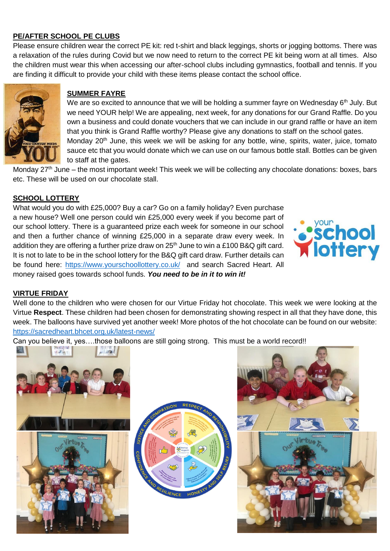# **PE/AFTER SCHOOL PE CLUBS**

Please ensure children wear the correct PE kit: red t-shirt and black leggings, shorts or jogging bottoms. There was a relaxation of the rules during Covid but we now need to return to the correct PE kit being worn at all times. Also the children must wear this when accessing our after-school clubs including gymnastics, football and tennis. If you are finding it difficult to provide your child with these items please contact the school office.



## **SUMMER FAYRE**

We are so excited to announce that we will be holding a summer fayre on Wednesday 6<sup>th</sup> July. But we need YOUR help! We are appealing, next week, for any donations for our Grand Raffle. Do you own a business and could donate vouchers that we can include in our grand raffle or have an item that you think is Grand Raffle worthy? Please give any donations to staff on the school gates. Monday 20<sup>th</sup> June, this week we will be asking for any bottle, wine, spirits, water, juice, tomato sauce etc that you would donate which we can use on our famous bottle stall. Bottles can be given to staff at the gates.

Monday 27<sup>th</sup> June – the most important week! This week we will be collecting any chocolate donations: boxes, bars etc. These will be used on our chocolate stall.

# **SCHOOL LOTTERY**

What would you do with £25,000? Buy a car? Go on a family holiday? Even purchase a new house? Well one person could win £25,000 every week if you become part of our school lottery. There is a guaranteed prize each week for someone in our school and then a further chance of winning £25,000 in a separate draw every week. In addition they are offering a further prize draw on  $25<sup>th</sup>$  June to win a £100 B&Q gift card. It is not to late to be in the school lottery for the B&Q gift card draw. Further details can be found here:<https://www.yourschoollottery.co.uk/>and search Sacred Heart. All money raised goes towards school funds. *You need to be in it to win it!*



### **VIRTUE FRIDAY**

Well done to the children who were chosen for our Virtue Friday hot chocolate. This week we were looking at the Virtue **Respect**. These children had been chosen for demonstrating showing respect in all that they have done, this week. The balloons have survived yet another week! More photos of the hot chocolate can be found on our website: <https://sacredheart.bhcet.org.uk/latest-news/>

Can you believe it, yes….those balloons are still going strong. This must be a world record!!



 $mg/m$